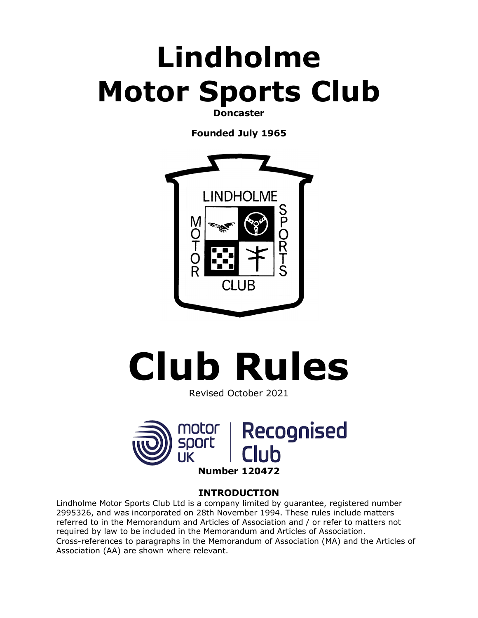## **Lindholme Motor Sports Club**

**Doncaster**

**Founded July 1965**



# **Club Rules**

Revised October 2021



### **INTRODUCTION**

Lindholme Motor Sports Club Ltd is a company limited by guarantee, registered number 2995326, and was incorporated on 28th November 1994. These rules include matters referred to in the Memorandum and Articles of Association and / or refer to matters not required by law to be included in the Memorandum and Articles of Association. Cross-references to paragraphs in the Memorandum of Association (MA) and the Articles of Association (AA) are shown where relevant.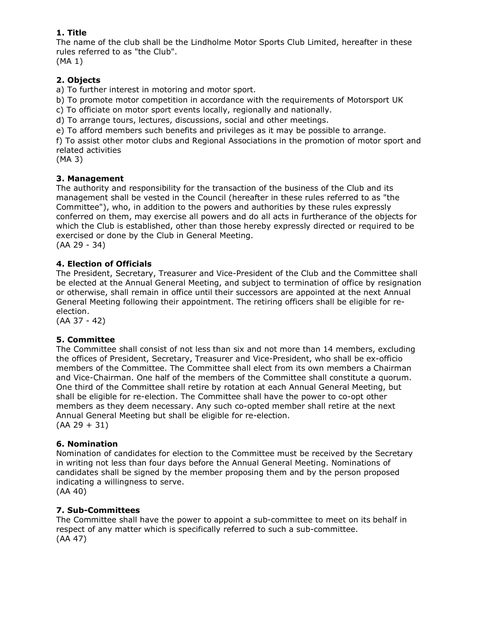#### **1. Title**

The name of the club shall be the Lindholme Motor Sports Club Limited, hereafter in these rules referred to as "the Club".

(MA 1)

#### **2. Objects**

a) To further interest in motoring and motor sport.

b) To promote motor competition in accordance with the requirements of Motorsport UK

c) To officiate on motor sport events locally, regionally and nationally.

d) To arrange tours, lectures, discussions, social and other meetings.

e) To afford members such benefits and privileges as it may be possible to arrange.

f) To assist other motor clubs and Regional Associations in the promotion of motor sport and related activities

(MA 3)

#### **3. Management**

The authority and responsibility for the transaction of the business of the Club and its management shall be vested in the Council (hereafter in these rules referred to as "the Committee"), who, in addition to the powers and authorities by these rules expressly conferred on them, may exercise all powers and do all acts in furtherance of the objects for which the Club is established, other than those hereby expressly directed or required to be exercised or done by the Club in General Meeting. (AA 29 - 34)

#### **4. Election of Officials**

The President, Secretary, Treasurer and Vice-President of the Club and the Committee shall be elected at the Annual General Meeting, and subject to termination of office by resignation or otherwise, shall remain in office until their successors are appointed at the next Annual General Meeting following their appointment. The retiring officers shall be eligible for reelection.

(AA 37 - 42)

#### **5. Committee**

The Committee shall consist of not less than six and not more than 14 members, excluding the offices of President, Secretary, Treasurer and Vice-President, who shall be ex-officio members of the Committee. The Committee shall elect from its own members a Chairman and Vice-Chairman. One half of the members of the Committee shall constitute a quorum. One third of the Committee shall retire by rotation at each Annual General Meeting, but shall be eligible for re-election. The Committee shall have the power to co-opt other members as they deem necessary. Any such co-opted member shall retire at the next Annual General Meeting but shall be eligible for re-election.  $(AA 29 + 31)$ 

#### **6. Nomination**

Nomination of candidates for election to the Committee must be received by the Secretary in writing not less than four days before the Annual General Meeting. Nominations of candidates shall be signed by the member proposing them and by the person proposed indicating a willingness to serve.

(AA 40)

#### **7. Sub-Committees**

The Committee shall have the power to appoint a sub-committee to meet on its behalf in respect of any matter which is specifically referred to such a sub-committee. (AA 47)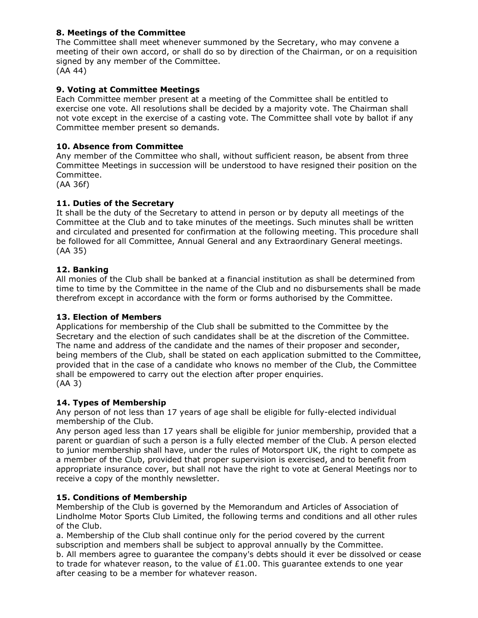#### **8. Meetings of the Committee**

The Committee shall meet whenever summoned by the Secretary, who may convene a meeting of their own accord, or shall do so by direction of the Chairman, or on a requisition signed by any member of the Committee. (AA 44)

#### **9. Voting at Committee Meetings**

Each Committee member present at a meeting of the Committee shall be entitled to exercise one vote. All resolutions shall be decided by a majority vote. The Chairman shall not vote except in the exercise of a casting vote. The Committee shall vote by ballot if any Committee member present so demands.

#### **10. Absence from Committee**

Any member of the Committee who shall, without sufficient reason, be absent from three Committee Meetings in succession will be understood to have resigned their position on the Committee.

(AA 36f)

#### **11. Duties of the Secretary**

It shall be the duty of the Secretary to attend in person or by deputy all meetings of the Committee at the Club and to take minutes of the meetings. Such minutes shall be written and circulated and presented for confirmation at the following meeting. This procedure shall be followed for all Committee, Annual General and any Extraordinary General meetings. (AA 35)

#### **12. Banking**

All monies of the Club shall be banked at a financial institution as shall be determined from time to time by the Committee in the name of the Club and no disbursements shall be made therefrom except in accordance with the form or forms authorised by the Committee.

#### **13. Election of Members**

Applications for membership of the Club shall be submitted to the Committee by the Secretary and the election of such candidates shall be at the discretion of the Committee. The name and address of the candidate and the names of their proposer and seconder, being members of the Club, shall be stated on each application submitted to the Committee, provided that in the case of a candidate who knows no member of the Club, the Committee shall be empowered to carry out the election after proper enquiries. (AA 3)

#### **14. Types of Membership**

Any person of not less than 17 years of age shall be eligible for fully-elected individual membership of the Club.

Any person aged less than 17 years shall be eligible for junior membership, provided that a parent or guardian of such a person is a fully elected member of the Club. A person elected to junior membership shall have, under the rules of Motorsport UK, the right to compete as a member of the Club, provided that proper supervision is exercised, and to benefit from appropriate insurance cover, but shall not have the right to vote at General Meetings nor to receive a copy of the monthly newsletter.

#### **15. Conditions of Membership**

Membership of the Club is governed by the Memorandum and Articles of Association of Lindholme Motor Sports Club Limited, the following terms and conditions and all other rules of the Club.

a. Membership of the Club shall continue only for the period covered by the current subscription and members shall be subject to approval annually by the Committee.

b. All members agree to guarantee the company's debts should it ever be dissolved or cease to trade for whatever reason, to the value of  $£1.00$ . This quarantee extends to one year after ceasing to be a member for whatever reason.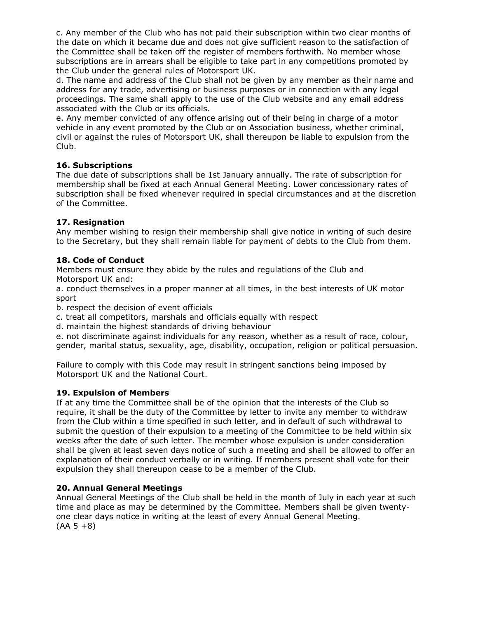c. Any member of the Club who has not paid their subscription within two clear months of the date on which it became due and does not give sufficient reason to the satisfaction of the Committee shall be taken off the register of members forthwith. No member whose subscriptions are in arrears shall be eligible to take part in any competitions promoted by the Club under the general rules of Motorsport UK.

d. The name and address of the Club shall not be given by any member as their name and address for any trade, advertising or business purposes or in connection with any legal proceedings. The same shall apply to the use of the Club website and any email address associated with the Club or its officials.

e. Any member convicted of any offence arising out of their being in charge of a motor vehicle in any event promoted by the Club or on Association business, whether criminal, civil or against the rules of Motorsport UK, shall thereupon be liable to expulsion from the Club.

#### **16. Subscriptions**

The due date of subscriptions shall be 1st January annually. The rate of subscription for membership shall be fixed at each Annual General Meeting. Lower concessionary rates of subscription shall be fixed whenever required in special circumstances and at the discretion of the Committee.

#### **17. Resignation**

Any member wishing to resign their membership shall give notice in writing of such desire to the Secretary, but they shall remain liable for payment of debts to the Club from them.

#### **18. Code of Conduct**

Members must ensure they abide by the rules and regulations of the Club and Motorsport UK and:

a. conduct themselves in a proper manner at all times, in the best interests of UK motor sport

b. respect the decision of event officials

c. treat all competitors, marshals and officials equally with respect

d. maintain the highest standards of driving behaviour

e. not discriminate against individuals for any reason, whether as a result of race, colour, gender, marital status, sexuality, age, disability, occupation, religion or political persuasion.

Failure to comply with this Code may result in stringent sanctions being imposed by Motorsport UK and the National Court.

#### **19. Expulsion of Members**

If at any time the Committee shall be of the opinion that the interests of the Club so require, it shall be the duty of the Committee by letter to invite any member to withdraw from the Club within a time specified in such letter, and in default of such withdrawal to submit the question of their expulsion to a meeting of the Committee to be held within six weeks after the date of such letter. The member whose expulsion is under consideration shall be given at least seven days notice of such a meeting and shall be allowed to offer an explanation of their conduct verbally or in writing. If members present shall vote for their expulsion they shall thereupon cease to be a member of the Club.

#### **20. Annual General Meetings**

Annual General Meetings of the Club shall be held in the month of July in each year at such time and place as may be determined by the Committee. Members shall be given twentyone clear days notice in writing at the least of every Annual General Meeting.  $(AA 5 + 8)$